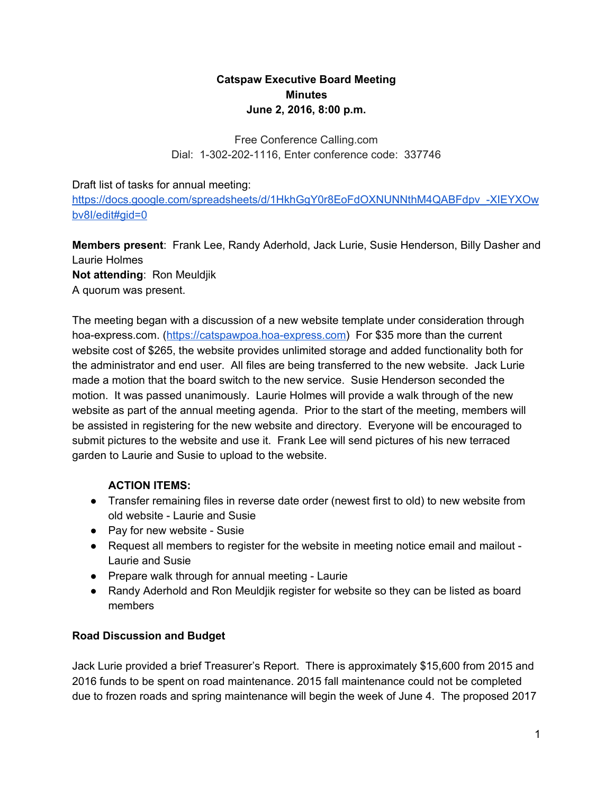# **Catspaw Executive Board Meeting Minutes June 2, 2016, 8:00 p.m.**

Free Conference Calling.com Dial: 1-302-202-1116, Enter conference code: 337746

Draft list of tasks for annual meeting:

https://docs.google.com/spreadsheets/d/1HkhGqY0r8EoFdOXNUNNthM4QABFdpv\_-XIEYXOw [bv8I/edit#gid=0](https://docs.google.com/spreadsheets/d/1HkhGgY0r8EoFdOXNUNNthM4QABFdpv_-XIEYXOwbv8I/edit#gid=0)

**Members present**: Frank Lee, Randy Aderhold, Jack Lurie, Susie Henderson, Billy Dasher and Laurie Holmes

**Not attending**: Ron Meuldjik A quorum was present.

The meeting began with a discussion of a new website template under consideration through hoa-express.com. (https://catspawpoa.hoa-express.com) For \$35 more than the current website cost of \$265, the website provides unlimited storage and added functionality both for the administrator and end user. All files are being transferred to the new website. Jack Lurie made a motion that the board switch to the new service. Susie Henderson seconded the motion. It was passed unanimously. Laurie Holmes will provide a walk through of the new website as part of the annual meeting agenda. Prior to the start of the meeting, members will be assisted in registering for the new website and directory. Everyone will be encouraged to submit pictures to the website and use it. Frank Lee will send pictures of his new terraced garden to Laurie and Susie to upload to the website.

### **ACTION ITEMS:**

- Transfer remaining files in reverse date order (newest first to old) to new website from old website - Laurie and Susie
- Pay for new website Susie
- Request all members to register for the website in meeting notice email and mailout -Laurie and Susie
- Prepare walk through for annual meeting Laurie
- Randy Aderhold and Ron Meuldjik register for website so they can be listed as board members

### **Road Discussion and Budget**

Jack Lurie provided a brief Treasurer's Report. There is approximately \$15,600 from 2015 and 2016 funds to be spent on road maintenance. 2015 fall maintenance could not be completed due to frozen roads and spring maintenance will begin the week of June 4. The proposed 2017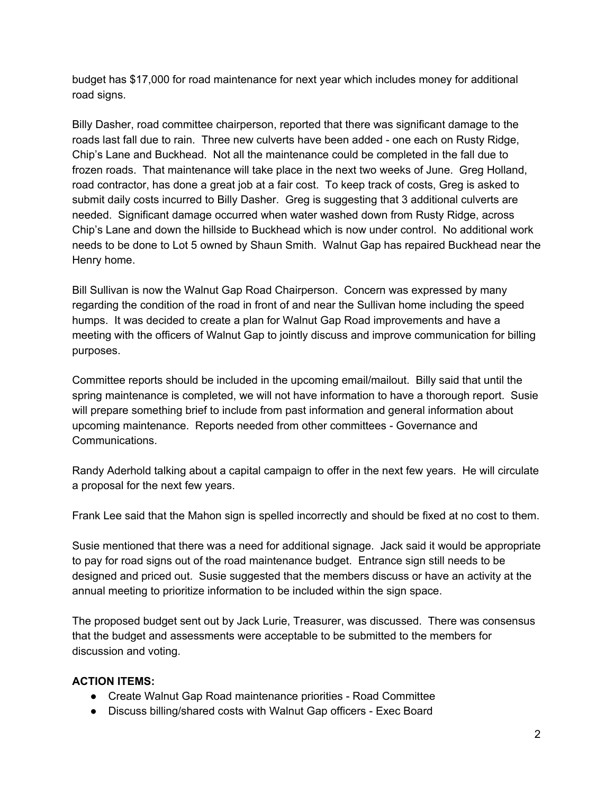budget has \$17,000 for road maintenance for next year which includes money for additional road signs.

Billy Dasher, road committee chairperson, reported that there was significant damage to the roads last fall due to rain. Three new culverts have been added - one each on Rusty Ridge, Chip's Lane and Buckhead. Not all the maintenance could be completed in the fall due to frozen roads. That maintenance will take place in the next two weeks of June. Greg Holland, road contractor, has done a great job at a fair cost. To keep track of costs, Greg is asked to submit daily costs incurred to Billy Dasher. Greg is suggesting that 3 additional culverts are needed. Significant damage occurred when water washed down from Rusty Ridge, across Chip's Lane and down the hillside to Buckhead which is now under control. No additional work needs to be done to Lot 5 owned by Shaun Smith. Walnut Gap has repaired Buckhead near the Henry home.

Bill Sullivan is now the Walnut Gap Road Chairperson. Concern was expressed by many regarding the condition of the road in front of and near the Sullivan home including the speed humps. It was decided to create a plan for Walnut Gap Road improvements and have a meeting with the officers of Walnut Gap to jointly discuss and improve communication for billing purposes.

Committee reports should be included in the upcoming email/mailout. Billy said that until the spring maintenance is completed, we will not have information to have a thorough report. Susie will prepare something brief to include from past information and general information about upcoming maintenance. Reports needed from other committees - Governance and Communications.

Randy Aderhold talking about a capital campaign to offer in the next few years. He will circulate a proposal for the next few years.

Frank Lee said that the Mahon sign is spelled incorrectly and should be fixed at no cost to them.

Susie mentioned that there was a need for additional signage. Jack said it would be appropriate to pay for road signs out of the road maintenance budget. Entrance sign still needs to be designed and priced out. Susie suggested that the members discuss or have an activity at the annual meeting to prioritize information to be included within the sign space.

The proposed budget sent out by Jack Lurie, Treasurer, was discussed. There was consensus that the budget and assessments were acceptable to be submitted to the members for discussion and voting.

#### **ACTION ITEMS:**

- Create Walnut Gap Road maintenance priorities Road Committee
- Discuss billing/shared costs with Walnut Gap officers Exec Board